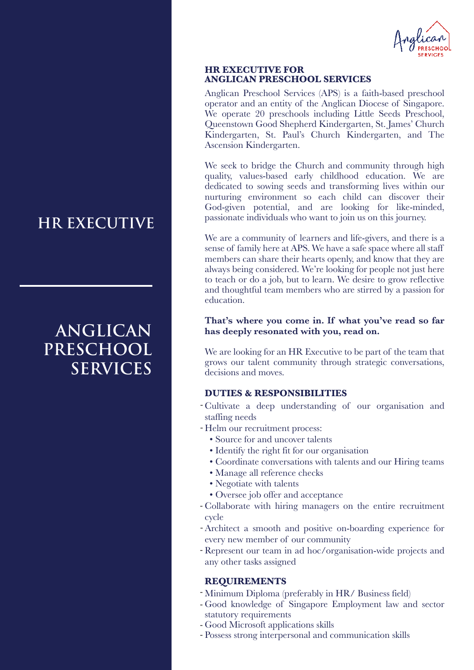

#### **HR EXECUTIVE FOR ANGLICAN PRESCHOOL SERVICES**

Anglican Preschool Services (APS) is a faith-based preschool operator and an entity of the Anglican Diocese of Singapore. We operate 20 preschools including Little Seeds Preschool, Queenstown Good Shepherd Kindergarten, St. James' Church Kindergarten, St. Paul's Church Kindergarten, and The Ascension Kindergarten.

We seek to bridge the Church and community through high quality, values-based early childhood education. We are dedicated to sowing seeds and transforming lives within our nurturing environment so each child can discover their God-given potential, and are looking for like-minded, passionate individuals who want to join us on this journey.

We are a community of learners and life-givers, and there is a sense of family here at APS. We have a safe space where all staff members can share their hearts openly, and know that they are always being considered. We're looking for people not just here to teach or do a job, but to learn. We desire to grow reflective and thoughtful team members who are stirred by a passion for education.

#### **That's where you come in. If what you've read so far has deeply resonated with you, read on.**

We are looking for an HR Executive to be part of the team that grows our talent community through strategic conversations, decisions and moves.

## **DUTIES & RESPONSIBILITIES**

- Cultivate a deep understanding of our organisation and staffing needs
- Helm our recruitment process:
	- Source for and uncover talents
	- Identify the right fit for our organisation
	- Coordinate conversations with talents and our Hiring teams
	- Manage all reference checks
	- Negotiate with talents
	- Oversee job offer and acceptance
- Collaborate with hiring managers on the entire recruitment cycle
- Architect a smooth and positive on-boarding experience for every new member of our community
- Represent our team in ad hoc/organisation-wide projects and any other tasks assigned

## **REQUIREMENTS**

- Minimum Diploma (preferably in HR/ Business field)
- Good knowledge of Singapore Employment law and sector statutory requirements
- Good Microsoft applications skills
- Possess strong interpersonal and communication skills

# **HR EXECUTIVE**

# **ANGLICAN PRESCHOOL SERVICES**